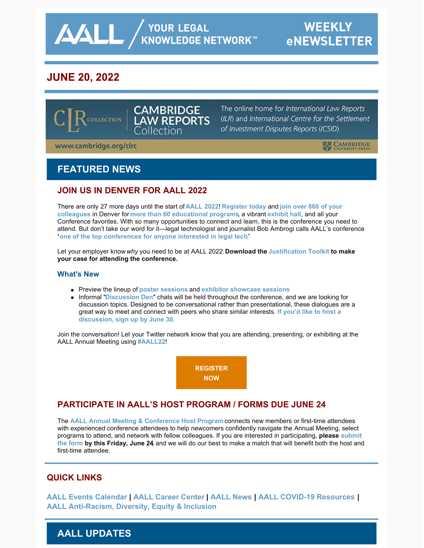**AALL** AND YOUR LEGAL

# **JUNE 20, 2022**



The online home for International Law Reports (ILR) and International Centre for the Settlement of Investment Disputes Reports (ICSID)

www.cambridge.org/clrc

**ELE** CAMBRIDGE

## **FEATURED NEWS**

#### **JOIN US IN DENVER FOR AALL 2022**

[There are only 27 more days until the start of](https://eventmobi.com/aall2022/people/ef0c5398-586b-427d-b542-c1aa49688886) **[AALL 2022](https://www.aallnet.org/conference/)**! **[Register today](https://aallconference.org/registration/)** and **join over 860 of your colleagues** in Denver for **[more than 60 educational programs](https://eventmobi.com/aall2022/agenda/a726b21f-5b6b-4478-8355-f5025035fcf1/day/all)**, a vibrant **[exhibit hall](https://eventmobi.com/aall2022/companies/05062b8e-7851-4f1a-a344-971a35ae2dd6)**, and all your Conference favorites. With so many opportunities to connect and learn, this is the conference you need to attend. But don't take our word for it—legal technologist and journalist Bob Ambrogi calls AALL's conference "**[one of the top conferences for anyone interested in legal tech](https://www.lawnext.com/2022/05/why-legal-tech-fans-should-attend-aall-in-july.html)**."

Let your employer know *why* you need to be at AALL 2022. **Download the [Justification Toolkit](https://www.aallnet.org/conference/wp-content/uploads/sites/18/2022/05/AALL-Annual-Meeting-Justification-Toolkit-FINAL-WEB.pdf) to make your case for attending the conference.**

#### **What's New**

- Preview the lineup of **[poster sessions](https://www.aallnet.org/conference/agenda/poster-sessions/)** and **[exhibitor showcase sessions](https://eventmobi.com/aall2022/agenda/289e20bb-e2ba-4bc3-bcb5-3e382ebcae13/day/all)**
- Informal "**[Discussion Den](https://www.aallnet.org/conference/agenda/discussion-dens/)**" chats will be held throughout the conference, and we are looking for discussion topics. Designed to be conversational rather than presentational, these dialogues are a [great way to meet and connect with peers who share similar interests.](https://www.aallnet.org/conference/agenda/discussion-dens/) **If you'd like to host a discussion, sign up by June 30**.

Join the conversation! Let your Twitter network know that you are attending, presenting, or exhibiting at the AALL Annual Meeting using **[#AALL22](https://twitter.com/search?q=AALL22&src=typed_query&f=live)**!

> **[REGISTER](https://aallconference.org/registration/) NOW**

## **PARTICIPATE IN AALL'S HOST PROGRAM / FORMS DUE JUNE 24**

The **[AALL Annual Meeting & Conference Host Program](https://www.aallnet.org/conference/resources/host-program/)** connects new members or first-time attendees with experienced conference attendees to help newcomers confidently navigate the Annual Meeting, select [programs to attend, and network with fellow colleagues. If you are interested in participating,](https://www.aallnet.org/conference/resources/host-program/) **please submit the form by this Friday, June 24**, and we will do our best to make a match that will benefit both the host and first-time attendee.

## **QUICK LINKS**

**[AALL Events Calendar](https://www.aallnet.org/forms/MeetingCalendar/) | [AALL Career Center](https://careers.aallnet.org/) | [AALL News](https://www.aallnet.org/about-us/press-room/news/) | [AALL COVID-19 Resources](https://www.aallnet.org/about-us/press-room/coronavirus/) | [AALL Anti-Racism, Diversity, Equity & Inclusion](https://www.aallnet.org/about-us/press-room/anti-racism-diversity-equity-inclusion/)**

## **AALL UPDATES**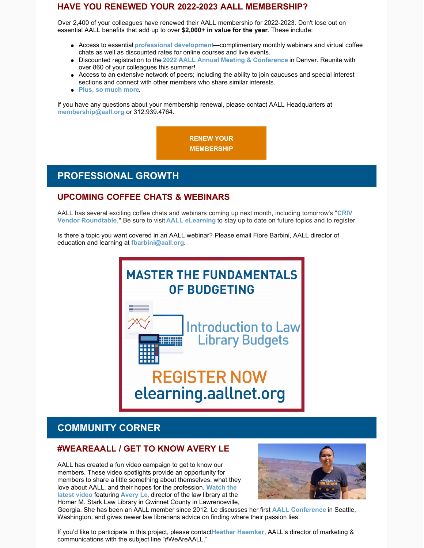#### **HAVE YOU RENEWED YOUR 2022-2023 AALL MEMBERSHIP?**

Over 2,400 of your colleagues have renewed their AALL membership for 2022-2023. Don't lose out on essential AALL benefits that add up to over **\$2,000+ in value for the year**. These include:

- Access to essential **[professional development](https://elearning.aallnet.org/)**—complimentary monthly webinars and virtual coffee chats as well as discounted rates for online courses and live events.
- Discounted registration to the **[2022 AALL Annual Meeting & Conference](https://www.aallnet.org/conference/)** in Denver. Reunite with over 860 of your colleagues this summer!
- Access to an extensive network of peers; including the ability to join caucuses and special interest sections and connect with other members who share similar interests.
- **[Plus, so much more](https://www.aallnet.org/community/membership/benefits/)**.

If you have any questions about your membership renewal, please contact AALL Headquarters at **[membership@aall.org](mailto:membership@aall.org)** or 312.939.4764.

> **[RENEW YOUR](https://www.aallnet.org/community/membership/join-renew/) MEMBERSHIP**

## **PROFESSIONAL GROWTH**

#### **UPCOMING COFFEE CHATS & WEBINARS**

[AALL has several exciting coffee chats and webinars coming up next month, including tomorrow's](https://www.aallnet.org/forms/meeting/MeetingFormPublic/view?id=93FC300000133) "**CRIV Vendor Roundtable**." Be sure to visit **[AALL eLearning](https://elearning.aallnet.org/live)** to stay up to date on future topics and to register.

Is there a topic you want covered in an AALL webinar? Please email Fiore Barbini, AALL director of education and learning at **[fbarbini@aall.org](mailto:fbarbini@aall.org)**.



# **REGISTER NOW** elearning.aallnet.org

## **COMMUNITY CORNER**

#### **#WEAREAALL / GET TO KNOW AVERY LE**

AALL has created a fun video campaign to get to know our members. These video spotlights provide an opportunity for members to share a little something about themselves, what they [love about AALL, and their hopes for the profession.](https://www.aallnet.org/community/membership/meet-our-members/weareaall/) **Watch the latest video** featuring **[Avery Le](https://www.aallnet.org/members_only/membership/IndividualFormPublicMembers/detail?id=2010018D59A)**, director of the law library at the Homer M. Stark Law Library in Gwinnet County in Lawrenceville,



Georgia. She has been an AALL member since 2012. Le discusses her first **[AALL Conference](https://www.aallnet.org/conference/)** in Seattle, Washington, and gives newer law librarians advice on finding where their passion lies.

If you'd like to participate in this project, please contact **[Heather Haemker](mailto:hhaemker@aall.org)**, AALL's director of marketing & communications with the subject line "#WeAreAALL."